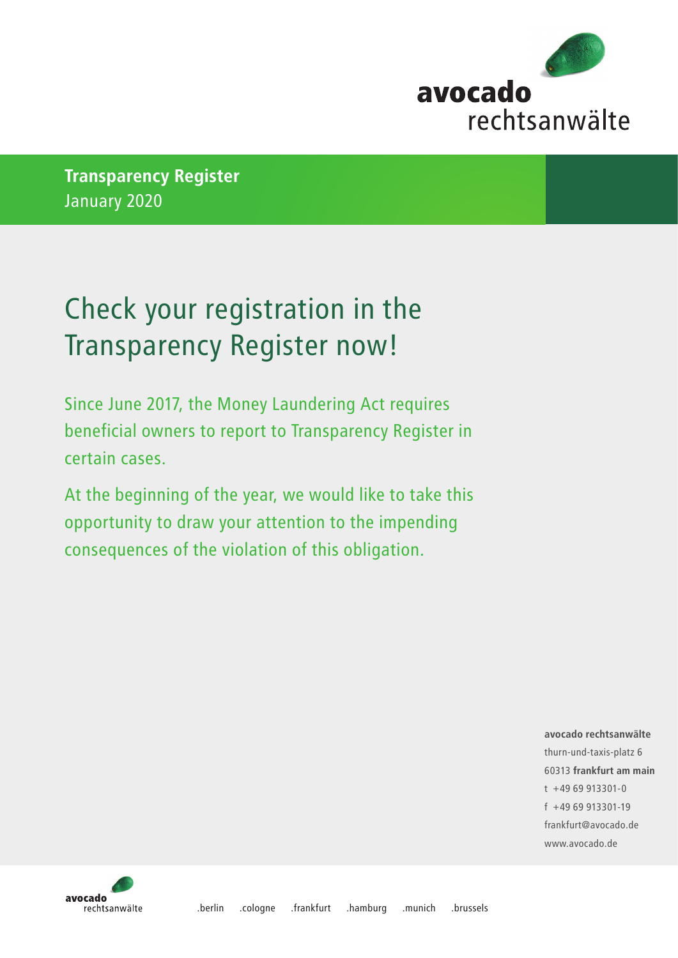

**Transparency Register** January 2020

## Check your registration in the Transparency Register now!

Since June 2017, the Money Laundering Act requires beneficial owners to report to Transparency Register in certain cases.

At the beginning of the year, we would like to take this opportunity to draw your attention to the impending consequences of the violation of this obligation.

> **avocado rechtsanwälte** thurn-und-taxis-platz 6 60313 **frankfurt am main** t +49 69 913301-0 f +49 69 913301-19 frankfurt@avocado.de www.avocado.de

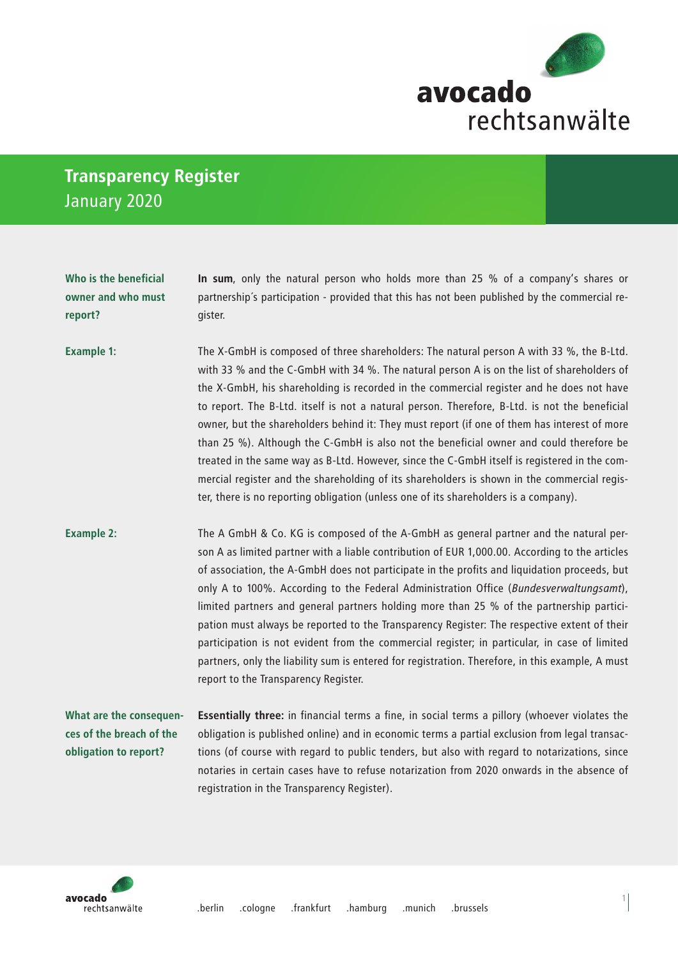

## **Transparency Register** January 2020

**Who is the beneficial owner and who must** 

**report?**

**In sum**, only the natural person who holds more than 25 % of a company's shares or partnership´s participation - provided that this has not been published by the commercial register.

The X-GmbH is composed of three shareholders: The natural person A with 33 %, the B-Ltd. with 33 % and the C-GmbH with 34 %. The natural person A is on the list of shareholders of the X-GmbH, his shareholding is recorded in the commercial register and he does not have to report. The B-Ltd. itself is not a natural person. Therefore, B-Ltd. is not the beneficial owner, but the shareholders behind it: They must report (if one of them has interest of more than 25 %). Although the C-GmbH is also not the beneficial owner and could therefore be treated in the same way as B-Ltd. However, since the C-GmbH itself is registered in the commercial register and the shareholding of its shareholders is shown in the commercial register, there is no reporting obligation (unless one of its shareholders is a company). **Example 1:**

The A GmbH & Co. KG is composed of the A-GmbH as general partner and the natural person A as limited partner with a liable contribution of EUR 1,000.00. According to the articles of association, the A-GmbH does not participate in the profits and liquidation proceeds, but only A to 100%. According to the Federal Administration Office (*Bundesverwaltungsamt*), limited partners and general partners holding more than 25 % of the partnership participation must always be reported to the Transparency Register: The respective extent of their participation is not evident from the commercial register; in particular, in case of limited partners, only the liability sum is entered for registration. Therefore, in this example, A must report to the Transparency Register. **Example 2:**

**What are the consequences of the breach of the obligation to report?**

**Essentially three:** in financial terms a fine, in social terms a pillory (whoever violates the obligation is published online) and in economic terms a partial exclusion from legal transactions (of course with regard to public tenders, but also with regard to notarizations, since notaries in certain cases have to refuse notarization from 2020 onwards in the absence of registration in the Transparency Register).